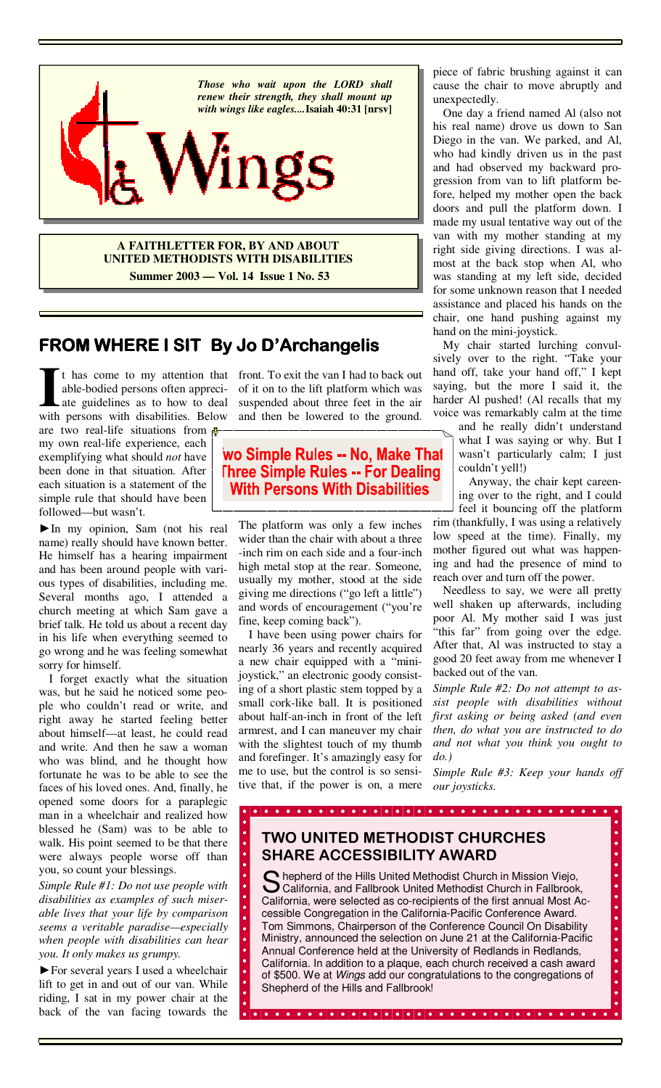

**A FAITHLETTER FOR, BY AND ABOUT UNITED METHODISTS WITH DISABILITIES Summer 2003 — Vol. 14 Issue 1 No. 53**

# **FROM WHERE I SIT FROM WHERE I SIT By Jo D'Archangelis D'Archangelis D'Archangelis**

It has come to my attention that front. To exit the van I had to back out able-bodied persons often appreci- of it on to the lift platform which was ate guidelines as to how to deal suspended about three feet in the air wi able-bodied persons often appreciate guidelines as to how to deal with persons with disabilities. Below

are two real-life situations from  $\frac{1}{2}$ my own real-life experience, each exemplifying what should *not* have been done in that situation. After each situation is a statement of the simple rule that should have been followed—but wasn't.

►In my opinion, Sam (not his real name) really should have known better. He himself has a hearing impairment and has been around people with various types of disabilities, including me. Several months ago, I attended a church meeting at which Sam gave a brief talk. He told us about a recent day in his life when everything seemed to go wrong and he was feeling somewhat sorry for himself.

 I forget exactly what the situation was, but he said he noticed some people who couldn't read or write, and right away he started feeling better about himself—at least, he could read and write. And then he saw a woman who was blind, and he thought how fortunate he was to be able to see the faces of his loved ones. And, finally, he opened some doors for a paraplegic man in a wheelchair and realized how blessed he (Sam) was to be able to walk. His point seemed to be that there were always people worse off than you, so count your blessings.

*Simple Rule #1: Do not use people with disabilities as examples of such miserable lives that your life by comparison seems a veritable paradise—especially when people with disabilities can hear you. It only makes us grumpy.* 

*►*For several years I used a wheelchair lift to get in and out of our van. While riding, I sat in my power chair at the back of the van facing towards the

of it on to the lift platform which was suspended about three feet in the air and then be lowered to the ground.

wo Simple Rules -- No, Make That **Three Simple Rules -- For Dealing With Persons With Disabilities** 

The platform was only a few inches wider than the chair with about a three -inch rim on each side and a four-inch high metal stop at the rear. Someone, usually my mother, stood at the side giving me directions ("go left a little") and words of encouragement ("you're fine, keep coming back").

 I have been using power chairs for nearly 36 years and recently acquired a new chair equipped with a "minijoystick," an electronic goody consisting of a short plastic stem topped by a small cork-like ball. It is positioned about half-an-inch in front of the left armrest, and I can maneuver my chair with the slightest touch of my thumb and forefinger. It's amazingly easy for me to use, but the control is so sensitive that, if the power is on, a mere

piece of fabric brushing against it can cause the chair to move abruptly and unexpectedly.

 One day a friend named Al (also not his real name) drove us down to San Diego in the van. We parked, and Al, who had kindly driven us in the past and had observed my backward progression from van to lift platform before, helped my mother open the back doors and pull the platform down. I made my usual tentative way out of the van with my mother standing at my right side giving directions. I was almost at the back stop when Al, who was standing at my left side, decided for some unknown reason that I needed assistance and placed his hands on the chair, one hand pushing against my hand on the mini-joystick.

 My chair started lurching convulsively over to the right. "Take your hand off, take your hand off," I kept saying, but the more I said it, the harder Al pushed! (Al recalls that my voice was remarkably calm at the time

> and he really didn't understand what I was saying or why. But I wasn't particularly calm; I just couldn't yell!)

> Anyway, the chair kept careening over to the right, and I could feel it bouncing off the platform

rim (thankfully, I was using a relatively low speed at the time). Finally, my mother figured out what was happening and had the presence of mind to reach over and turn off the power.

 Needless to say, we were all pretty well shaken up afterwards, including poor Al. My mother said I was just "this far" from going over the edge. After that, Al was instructed to stay a good 20 feet away from me whenever I backed out of the van.

*Simple Rule #2: Do not attempt to assist people with disabilities without first asking or being asked (and even then, do what you are instructed to do and not what you think you ought to do.)* 

*Simple Rule #3: Keep your hands off our joysticks.*

# **TWO UNITED METHODIST CHURCHES SHARE ACCESSIBILITY AWARD**

S hepherd of the Hills United Methodist Church in Mission Viejo, California, and Fallbrook United Methodist Church in Fallbrook, California, were selected as co-recipients of the first annual Most Accessible Congregation in the California-Pacific Conference Award. Tom Simmons, Chairperson of the Conference Council On Disability Ministry, announced the selection on June 21 at the California-Pacific Annual Conference held at the University of Redlands in Redlands, California. In addition to a plaque, each church received a cash award of \$500. We at Wings add our congratulations to the congregations of Shepherd of the Hills and Fallbrook!

 $\bullet$  |  $\bullet$  |  $\bullet$  |  $\bullet$  |  $\bullet$  |  $\bullet$  |  $\bullet$  |  $\bullet$  |  $\bullet$  |  $\bullet$  |  $\bullet$  |  $\bullet$  |  $\bullet$  |  $\bullet$  |  $\bullet$  |  $\bullet$  |  $\bullet$  |  $\bullet$  |  $\bullet$  |  $\bullet$  |  $\bullet$  |  $\bullet$  |  $\bullet$  |  $\bullet$  |  $\bullet$  |  $\bullet$  |  $\bullet$  |  $\bullet$  |  $\bullet$  |  $\bullet$  |  $\bullet$  |  $\bullet$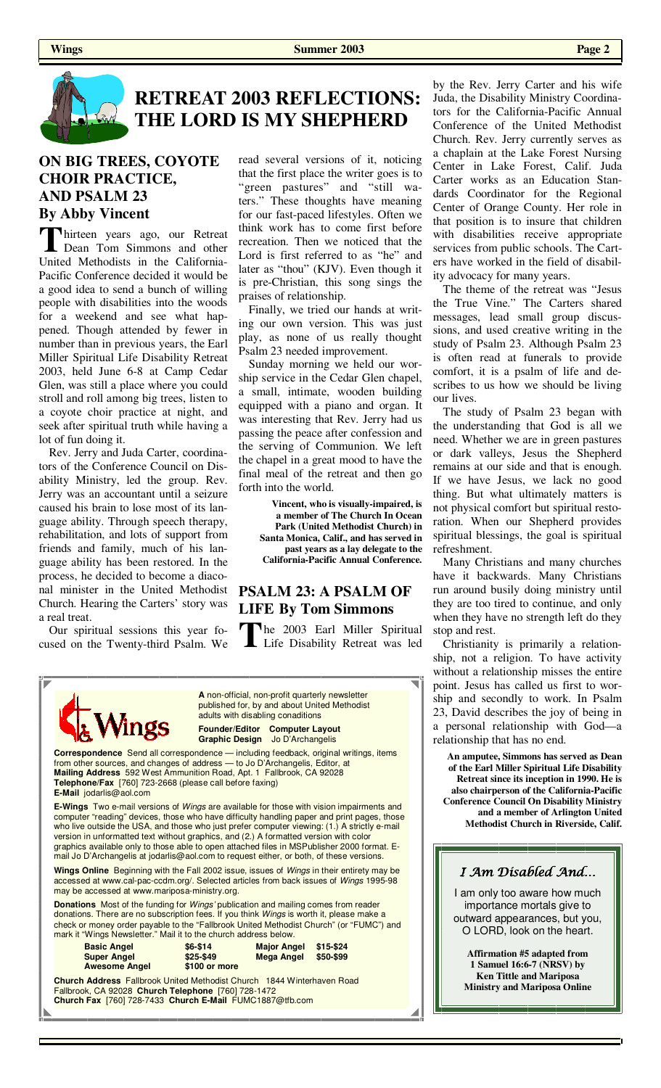

# **RETREAT 2003 REFLECTIONS: THE LORD IS MY SHEPHERD**

## **ON BIG TREES, COYOTE CHOIR PRACTICE, AND PSALM 23 By Abby Vincent**

hirteen years ago, our Retreat Dean Tom Simmons and other United Methodists in the California-Pacific Conference decided it would be a good idea to send a bunch of willing people with disabilities into the woods for a weekend and see what happened. Though attended by fewer in number than in previous years, the Earl Miller Spiritual Life Disability Retreat 2003, held June 6-8 at Camp Cedar Glen, was still a place where you could stroll and roll among big trees, listen to a coyote choir practice at night, and seek after spiritual truth while having a lot of fun doing it.

 Rev. Jerry and Juda Carter, coordinators of the Conference Council on Disability Ministry, led the group. Rev. Jerry was an accountant until a seizure caused his brain to lose most of its language ability. Through speech therapy, rehabilitation, and lots of support from friends and family, much of his language ability has been restored. In the process, he decided to become a diaconal minister in the United Methodist Church. Hearing the Carters' story was a real treat.

 Our spiritual sessions this year focused on the Twenty-third Psalm. We read several versions of it, noticing that the first place the writer goes is to "green pastures" and "still waters." These thoughts have meaning for our fast-paced lifestyles. Often we think work has to come first before recreation. Then we noticed that the Lord is first referred to as "he" and later as "thou" (KJV). Even though it is pre-Christian, this song sings the praises of relationship.

 Finally, we tried our hands at writing our own version. This was just play, as none of us really thought Psalm 23 needed improvement.

 Sunday morning we held our worship service in the Cedar Glen chapel, a small, intimate, wooden building equipped with a piano and organ. It was interesting that Rev. Jerry had us passing the peace after confession and the serving of Communion. We left the chapel in a great mood to have the final meal of the retreat and then go forth into the world.

> **Vincent, who is visually-impaired, is a member of The Church In Ocean Park (United Methodist Church) in Santa Monica, Calif., and has served in past years as a lay delegate to the California-Pacific Annual Conference.**

## **PSALM 23: A PSALM OF LIFE By Tom Simmons**

The 2003 Earl Miller Spiritual<br>Life Disability Retreat was led



by the Rev. Jerry Carter and his wife Juda, the Disability Ministry Coordinators for the California-Pacific Annual Conference of the United Methodist Church. Rev. Jerry currently serves as a chaplain at the Lake Forest Nursing Center in Lake Forest, Calif. Juda Carter works as an Education Standards Coordinator for the Regional Center of Orange County. Her role in that position is to insure that children with disabilities receive appropriate services from public schools. The Carters have worked in the field of disability advocacy for many years.

 The theme of the retreat was "Jesus the True Vine." The Carters shared messages, lead small group discussions, and used creative writing in the study of Psalm 23. Although Psalm 23 is often read at funerals to provide comfort, it is a psalm of life and describes to us how we should be living our lives.

 The study of Psalm 23 began with the understanding that God is all we need. Whether we are in green pastures or dark valleys, Jesus the Shepherd remains at our side and that is enough. If we have Jesus, we lack no good thing. But what ultimately matters is not physical comfort but spiritual restoration. When our Shepherd provides spiritual blessings, the goal is spiritual refreshment.

 Many Christians and many churches have it backwards. Many Christians run around busily doing ministry until they are too tired to continue, and only when they have no strength left do they stop and rest.

 Christianity is primarily a relationship, not a religion. To have activity without a relationship misses the entire point. Jesus has called us first to worship and secondly to work. In Psalm 23, David describes the joy of being in a personal relationship with God—a relationship that has no end.

**An amputee, Simmons has served as Dean of the Earl Miller Spiritual Life Disability Retreat since its inception in 1990. He is also chairperson of the California-Pacific Conference Council On Disability Ministry and a member of Arlington United Methodist Church in Riverside, Calif.** 

## I Am Disabled And…

I am only too aware how much importance mortals give to outward appearances, but you, O LORD, look on the heart.

**Affirmation #5 adapted from 1 Samuel 16:6-7 (NRSV) by Ken Tittle and Mariposa Ministry and Mariposa Online**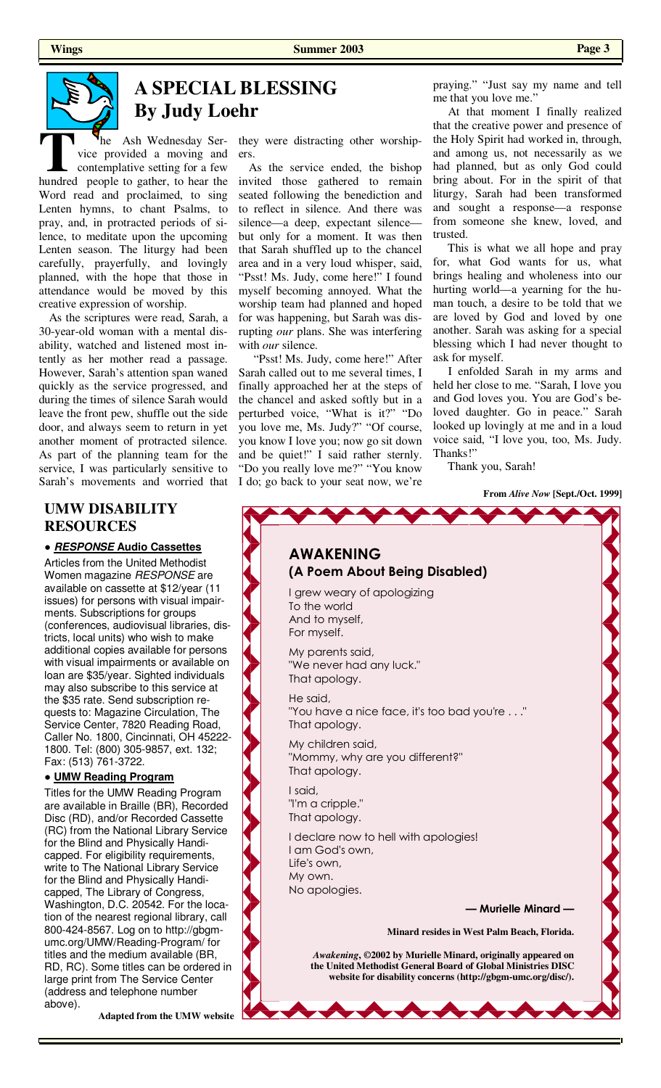

# **A SPECIAL BLESSING By Judy Loehr**

The Ash Wednesday Service provided a moving and<br>contemplative setting for a few<br>hundred people to gather to hear the vice provided a moving and contemplative setting for a few hundred people to gather, to hear the Word read and proclaimed, to sing Lenten hymns, to chant Psalms, to pray, and, in protracted periods of silence, to meditate upon the upcoming Lenten season. The liturgy had been carefully, prayerfully, and lovingly planned, with the hope that those in attendance would be moved by this creative expression of worship.

 As the scriptures were read, Sarah, a 30-year-old woman with a mental disability, watched and listened most intently as her mother read a passage. However, Sarah's attention span waned quickly as the service progressed, and during the times of silence Sarah would leave the front pew, shuffle out the side door, and always seem to return in yet another moment of protracted silence. As part of the planning team for the service, I was particularly sensitive to Sarah's movements and worried that

## **UMW DISABILITY RESOURCES**

#### *●* **RESPONSE Audio Cassettes**

Articles from the United Methodist Women magazine RESPONSE are available on cassette at \$12/year (11 issues) for persons with visual impairments. Subscriptions for groups (conferences, audiovisual libraries, districts, local units) who wish to make additional copies available for persons with visual impairments or available on loan are \$35/year. Sighted individuals may also subscribe to this service at the \$35 rate. Send subscription requests to: Magazine Circulation, The Service Center, 7820 Reading Road, Caller No. 1800, Cincinnati, OH 45222- 1800. Tel: (800) 305-9857, ext. 132; Fax: (513) 761-3722.

#### **● UMW Reading Program**

Titles for the UMW Reading Program are available in Braille (BR), Recorded Disc (RD), and/or Recorded Cassette (RC) from the National Library Service for the Blind and Physically Handicapped. For eligibility requirements, write to The National Library Service for the Blind and Physically Handicapped, The Library of Congress, Washington, D.C. 20542. For the location of the nearest regional library, call 800-424-8567. Log on to http://gbgmumc.org/UMW/Reading-Program/ for titles and the medium available (BR, RD, RC). Some titles can be ordered in large print from The Service Center (address and telephone number above).

**Adapted from the UMW website** 

they were distracting other worshipers.

 As the service ended, the bishop invited those gathered to remain seated following the benediction and to reflect in silence. And there was silence—a deep, expectant silence but only for a moment. It was then that Sarah shuffled up to the chancel area and in a very loud whisper, said, "Psst! Ms. Judy, come here!" I found myself becoming annoyed. What the worship team had planned and hoped for was happening, but Sarah was disrupting *our* plans. She was interfering with *our* silence.

 "Psst! Ms. Judy, come here!" After Sarah called out to me several times, I finally approached her at the steps of the chancel and asked softly but in a perturbed voice, "What is it?" "Do you love me, Ms. Judy?" "Of course, you know I love you; now go sit down and be quiet!"  $\overline{I}$  said rather sternly. "Do you really love me?" "You know I do; go back to your seat now, we're

praying." "Just say my name and tell me that you love me."

 At that moment I finally realized that the creative power and presence of the Holy Spirit had worked in, through, and among us, not necessarily as we had planned, but as only God could bring about. For in the spirit of that liturgy, Sarah had been transformed and sought a response—a response from someone she knew, loved, and trusted.

 This is what we all hope and pray for, what God wants for us, what brings healing and wholeness into our hurting world—a yearning for the human touch, a desire to be told that we are loved by God and loved by one another. Sarah was asking for a special blessing which I had never thought to ask for myself.

 I enfolded Sarah in my arms and held her close to me. "Sarah, I love you and God loves you. You are God's beloved daughter. Go in peace." Sarah looked up lovingly at me and in a loud voice said, "I love you, too, Ms. Judy. Thanks!"

Thank you, Sarah!

#### **From** *Alive Now* **[Sept./Oct. 1999]**